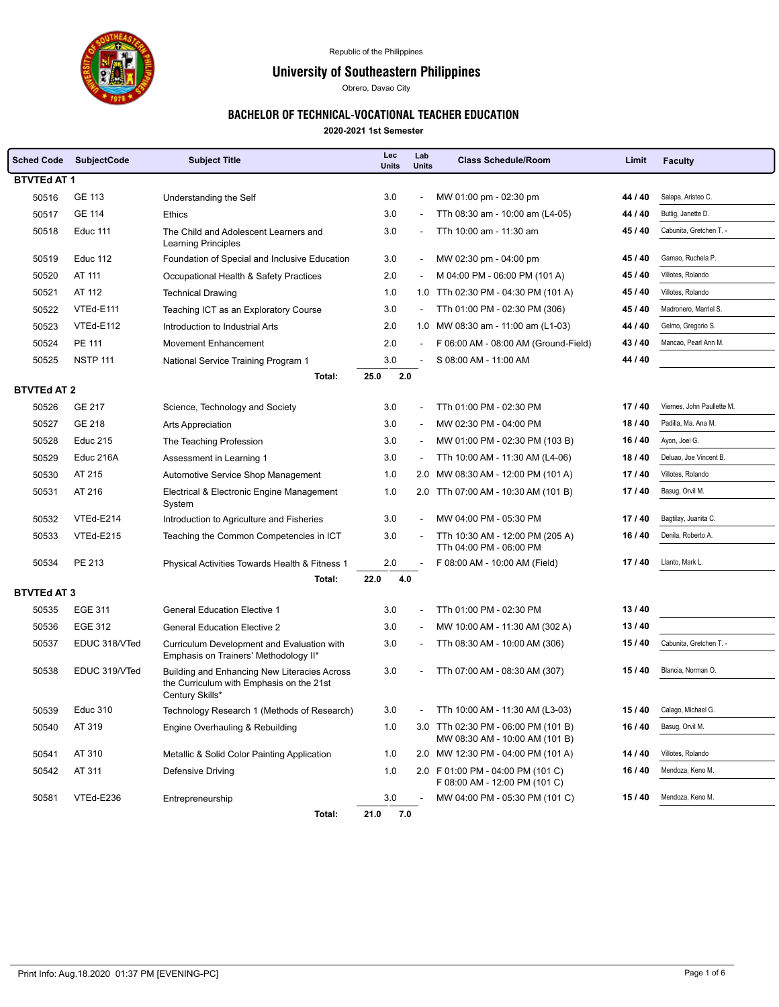

Republic of the Philippines

## University of Southeastern Philippines

Obrero, Davao City

## BACHELOR OF TECHNICAL-VOCATIONAL TEACHER EDUCATION

**2020-2021 1st Semester**

| <b>Sched Code</b>  | <b>SubjectCode</b> | <b>Subject Title</b>                                                                                        | Lec<br><b>Units</b> | Lab<br><b>Units</b>      | <b>Class Schedule/Room</b>                                            | Limit   | <b>Faculty</b>             |  |  |
|--------------------|--------------------|-------------------------------------------------------------------------------------------------------------|---------------------|--------------------------|-----------------------------------------------------------------------|---------|----------------------------|--|--|
|                    | <b>BTVTEd AT 1</b> |                                                                                                             |                     |                          |                                                                       |         |                            |  |  |
| 50516              | GE 113             | Understanding the Self                                                                                      | 3.0                 | $\overline{\phantom{a}}$ | MW 01:00 pm - 02:30 pm                                                | 44 / 40 | Salapa, Aristeo C.         |  |  |
| 50517              | <b>GE 114</b>      | <b>Ethics</b>                                                                                               | 3.0                 |                          | TTh 08:30 am - 10:00 am (L4-05)                                       | 44 / 40 | Butlig, Janette D.         |  |  |
| 50518              | <b>Educ 111</b>    | The Child and Adolescent Learners and<br><b>Learning Principles</b>                                         | 3.0                 |                          | TTh 10:00 am - 11:30 am                                               | 45 / 40 | Cabunita, Gretchen T. -    |  |  |
| 50519              | <b>Educ 112</b>    | Foundation of Special and Inclusive Education                                                               | 3.0                 | $\overline{\phantom{a}}$ | MW 02:30 pm - 04:00 pm                                                | 45 / 40 | Gamao, Ruchela P.          |  |  |
| 50520              | AT 111             | Occupational Health & Safety Practices                                                                      | 2.0                 |                          | M 04:00 PM - 06:00 PM (101 A)                                         | 45 / 40 | Villotes, Rolando          |  |  |
| 50521              | AT 112             | <b>Technical Drawing</b>                                                                                    | 1.0                 |                          | 1.0 TTh 02:30 PM - 04:30 PM (101 A)                                   | 45 / 40 | Villotes, Rolando          |  |  |
| 50522              | VTEd-E111          | Teaching ICT as an Exploratory Course                                                                       | 3.0                 |                          | TTh 01:00 PM - 02:30 PM (306)                                         | 45 / 40 | Madronero, Marriel S.      |  |  |
| 50523              | VTEd-E112          | Introduction to Industrial Arts                                                                             | 2.0                 |                          | 1.0 MW 08:30 am - 11:00 am (L1-03)                                    | 44 / 40 | Gelmo, Gregorio S.         |  |  |
| 50524              | <b>PE 111</b>      | <b>Movement Enhancement</b>                                                                                 | 2.0                 | $\sim$                   | F 06:00 AM - 08:00 AM (Ground-Field)                                  | 43/40   | Mancao, Pearl Ann M.       |  |  |
| 50525              | <b>NSTP 111</b>    | National Service Training Program 1                                                                         | 3.0                 |                          | S 08:00 AM - 11:00 AM                                                 | 44 / 40 |                            |  |  |
|                    |                    | Total:                                                                                                      | 25.0<br>2.0         |                          |                                                                       |         |                            |  |  |
| <b>BTVTEd AT 2</b> |                    |                                                                                                             |                     |                          |                                                                       |         |                            |  |  |
| 50526              | <b>GE 217</b>      | Science, Technology and Society                                                                             | 3.0                 |                          | TTh 01:00 PM - 02:30 PM                                               | 17/40   | Viernes, John Paullette M. |  |  |
| 50527              | <b>GE 218</b>      | Arts Appreciation                                                                                           | 3.0                 |                          | MW 02:30 PM - 04:00 PM                                                | 18/40   | Padilla, Ma. Ana M.        |  |  |
| 50528              | <b>Educ 215</b>    | The Teaching Profession                                                                                     | 3.0                 |                          | MW 01:00 PM - 02:30 PM (103 B)                                        | 16 / 40 | Ayon, Joel G.              |  |  |
| 50529              | Educ 216A          | Assessment in Learning 1                                                                                    | 3.0                 |                          | TTh 10:00 AM - 11:30 AM (L4-06)                                       | 18/40   | Deluao, Joe Vincent B.     |  |  |
| 50530              | AT 215             | Automotive Service Shop Management                                                                          | 1.0                 |                          | 2.0 MW 08:30 AM - 12:00 PM (101 A)                                    | 17/40   | Villotes, Rolando          |  |  |
| 50531              | AT 216             | Electrical & Electronic Engine Management<br>System                                                         | 1.0                 |                          | 2.0 TTh 07:00 AM - 10:30 AM (101 B)                                   | 17/40   | Basug, Orvil M.            |  |  |
| 50532              | VTEd-E214          | Introduction to Agriculture and Fisheries                                                                   | 3.0                 |                          | MW 04:00 PM - 05:30 PM                                                | 17/40   | Bagtilay, Juanita C.       |  |  |
| 50533              | VTEd-E215          | Teaching the Common Competencies in ICT                                                                     | 3.0                 |                          | TTh 10:30 AM - 12:00 PM (205 A)<br>TTh 04:00 PM - 06:00 PM            | 16/40   | Denila, Roberto A.         |  |  |
| 50534              | PE 213             | Physical Activities Towards Health & Fitness 1                                                              | 2.0                 |                          | F 08:00 AM - 10:00 AM (Field)                                         | 17/40   | Llanto, Mark L.            |  |  |
|                    |                    | Total:                                                                                                      | 22.0<br>4.0         |                          |                                                                       |         |                            |  |  |
| <b>BTVTEd AT 3</b> |                    |                                                                                                             |                     |                          |                                                                       |         |                            |  |  |
| 50535              | EGE 311            | <b>General Education Elective 1</b>                                                                         | 3.0                 |                          | TTh 01:00 PM - 02:30 PM                                               | 13/40   |                            |  |  |
| 50536              | EGE 312            | <b>General Education Elective 2</b>                                                                         | 3.0                 |                          | MW 10:00 AM - 11:30 AM (302 A)                                        | 13/40   |                            |  |  |
| 50537              | EDUC 318/VTed      | Curriculum Development and Evaluation with<br>Emphasis on Trainers' Methodology II*                         | 3.0                 | $\overline{\phantom{a}}$ | TTh 08:30 AM - 10:00 AM (306)                                         | 15/40   | Cabunita, Gretchen T. -    |  |  |
| 50538              | EDUC 319/VTed      | Building and Enhancing New Literacies Across<br>the Curriculum with Emphasis on the 21st<br>Century Skills* | 3.0                 | ٠                        | TTh 07:00 AM - 08:30 AM (307)                                         | 15/40   | Blancia, Norman O.         |  |  |
| 50539              | <b>Educ 310</b>    | Technology Research 1 (Methods of Research)                                                                 | 3.0                 |                          | TTh 10:00 AM - 11:30 AM (L3-03)                                       | 15/40   | Calago, Michael G.         |  |  |
| 50540              | AT 319             | Engine Overhauling & Rebuilding                                                                             | 1.0                 |                          | 3.0 TTh 02:30 PM - 06:00 PM (101 B)<br>MW 08:30 AM - 10:00 AM (101 B) | 16/40   | Basug, Orvil M.            |  |  |
| 50541              | AT 310             | Metallic & Solid Color Painting Application                                                                 | 1.0                 |                          | 2.0 MW 12:30 PM - 04:00 PM (101 A)                                    | 14 / 40 | Villotes, Rolando          |  |  |
| 50542              | AT 311             | Defensive Driving                                                                                           | 1.0                 |                          | 2.0 F 01:00 PM - 04:00 PM (101 C)<br>F 08:00 AM - 12:00 PM (101 C)    | 16/40   | Mendoza, Keno M.           |  |  |
| 50581              | VTEd-E236          | Entrepreneurship                                                                                            | 3.0                 |                          | MW 04:00 PM - 05:30 PM (101 C)                                        | 15/40   | Mendoza, Keno M.           |  |  |
|                    |                    | Total:                                                                                                      | 21.0<br>7.0         |                          |                                                                       |         |                            |  |  |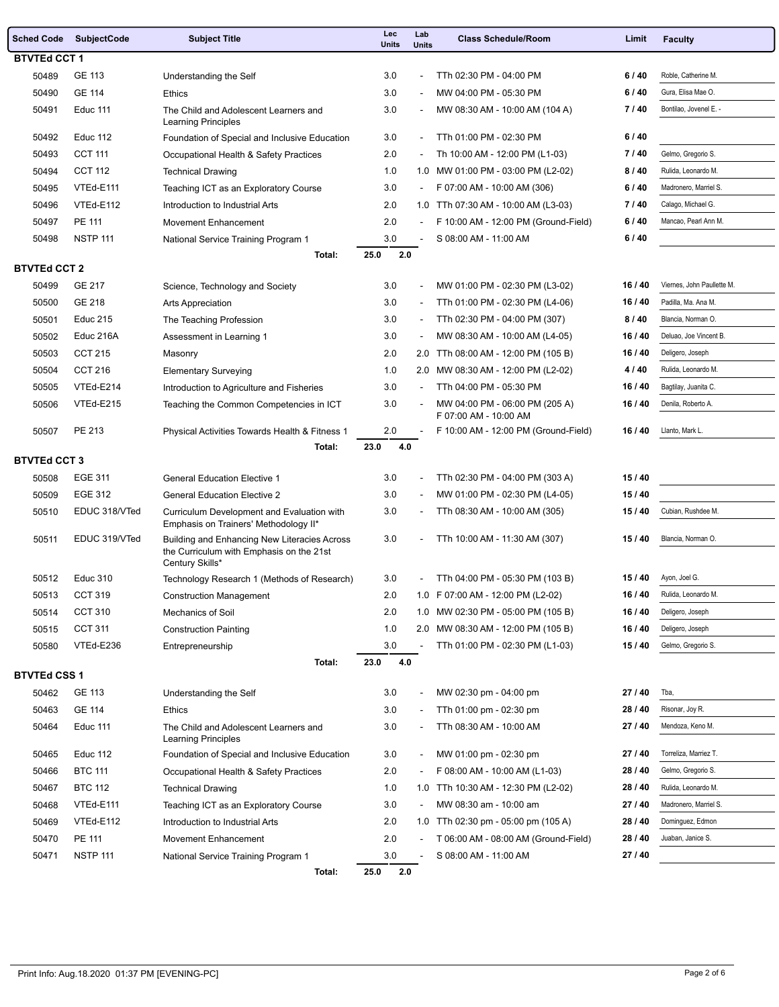|                     | Sched Code SubjectCode    | <b>Subject Title</b>                                                                                        | Lec<br><b>Units</b> | Lab<br><b>Units</b>      | <b>Class Schedule/Room</b>                              | Limit   | <b>Faculty</b>             |  |
|---------------------|---------------------------|-------------------------------------------------------------------------------------------------------------|---------------------|--------------------------|---------------------------------------------------------|---------|----------------------------|--|
| <b>BTVTEd CCT 1</b> |                           |                                                                                                             |                     |                          |                                                         |         |                            |  |
| 50489               | GE 113                    | Understanding the Self                                                                                      | 3.0                 | $\overline{\phantom{0}}$ | TTh 02:30 PM - 04:00 PM                                 | 6/40    | Roble, Catherine M.        |  |
| 50490               | <b>GE 114</b>             | <b>Ethics</b>                                                                                               | 3.0                 | ÷,                       | MW 04:00 PM - 05:30 PM                                  | 6/40    | Gura, Elisa Mae O.         |  |
| 50491               | Educ 111                  | The Child and Adolescent Learners and<br><b>Learning Principles</b>                                         | 3.0                 | $\overline{\phantom{a}}$ | MW 08:30 AM - 10:00 AM (104 A)                          | 7/40    | Bontilao, Jovenel E. -     |  |
| 50492               | <b>Educ 112</b>           | Foundation of Special and Inclusive Education                                                               | 3.0                 | $\overline{\phantom{0}}$ | TTh 01:00 PM - 02:30 PM                                 | 6/40    |                            |  |
| 50493               | <b>CCT 111</b>            | Occupational Health & Safety Practices                                                                      | 2.0                 |                          | Th 10:00 AM - 12:00 PM (L1-03)                          | 7/40    | Gelmo, Gregorio S.         |  |
| 50494               | <b>CCT 112</b>            | <b>Technical Drawing</b>                                                                                    | 1.0                 |                          | 1.0 MW 01:00 PM - 03:00 PM (L2-02)                      | 8/40    | Rulida, Leonardo M.        |  |
| 50495               | VTEd-E111                 | Teaching ICT as an Exploratory Course                                                                       | 3.0                 | $\overline{\phantom{a}}$ | F 07:00 AM - 10:00 AM (306)                             | 6/40    | Madronero, Marriel S.      |  |
| 50496               | VTEd-E112                 | Introduction to Industrial Arts                                                                             | 2.0                 |                          | 1.0 TTh 07:30 AM - 10:00 AM (L3-03)                     | 7/40    | Calago, Michael G.         |  |
| 50497               | <b>PE 111</b>             | <b>Movement Enhancement</b>                                                                                 | 2.0                 | $\overline{\phantom{a}}$ | F 10:00 AM - 12:00 PM (Ground-Field)                    | 6/40    | Mancao, Pearl Ann M.       |  |
| 50498               | <b>NSTP 111</b>           | National Service Training Program 1                                                                         | 3.0                 |                          | S 08:00 AM - 11:00 AM                                   | 6/40    |                            |  |
|                     |                           | Total:                                                                                                      | 25.0<br>2.0         |                          |                                                         |         |                            |  |
| <b>BTVTEd CCT 2</b> |                           |                                                                                                             |                     |                          |                                                         |         |                            |  |
| 50499               | GE 217                    | Science, Technology and Society                                                                             | 3.0                 | ÷,                       | MW 01:00 PM - 02:30 PM (L3-02)                          | 16/40   | Viernes, John Paullette M. |  |
| 50500               | GE 218                    | <b>Arts Appreciation</b>                                                                                    | 3.0                 | $\overline{a}$           | TTh 01:00 PM - 02:30 PM (L4-06)                         | 16/40   | Padilla, Ma. Ana M.        |  |
| 50501               | Educ 215                  | The Teaching Profession                                                                                     | 3.0                 | $\overline{\phantom{a}}$ | TTh 02:30 PM - 04:00 PM (307)                           | 8/40    | Blancia, Norman O.         |  |
| 50502               | Educ 216A                 | Assessment in Learning 1                                                                                    | 3.0                 | ÷,                       | MW 08:30 AM - 10:00 AM (L4-05)                          | 16/40   | Deluao, Joe Vincent B.     |  |
| 50503               | <b>CCT 215</b>            | Masonry                                                                                                     | 2.0                 |                          | 2.0 TTh 08:00 AM - 12:00 PM (105 B)                     | 16/40   | Deligero, Joseph           |  |
| 50504               | <b>CCT 216</b>            | <b>Elementary Surveying</b>                                                                                 | 1.0                 |                          | 2.0 MW 08:30 AM - 12:00 PM (L2-02)                      | 4/40    | Rulida, Leonardo M.        |  |
| 50505               | VTEd-E214                 | Introduction to Agriculture and Fisheries                                                                   | 3.0                 |                          | TTh 04:00 PM - 05:30 PM                                 | 16/40   | Bagtilay, Juanita C.       |  |
| 50506               | VTEd-E215                 | Teaching the Common Competencies in ICT                                                                     | 3.0                 | $\overline{\phantom{a}}$ | MW 04:00 PM - 06:00 PM (205 A)<br>F 07:00 AM - 10:00 AM | 16/40   | Denila, Roberto A.         |  |
| 50507               | PE 213                    | Physical Activities Towards Health & Fitness 1                                                              | 2.0                 |                          | F 10:00 AM - 12:00 PM (Ground-Field)                    | 16/40   | Llanto, Mark L.            |  |
|                     |                           | Total:                                                                                                      | 23.0<br>4.0         |                          |                                                         |         |                            |  |
| <b>BTVTEd CCT 3</b> |                           |                                                                                                             |                     |                          |                                                         | 15/40   |                            |  |
| 50508               | <b>EGE 311</b><br>EGE 312 | <b>General Education Elective 1</b>                                                                         | 3.0                 | $\overline{a}$           | TTh 02:30 PM - 04:00 PM (303 A)                         |         |                            |  |
| 50509               |                           | <b>General Education Elective 2</b>                                                                         | 3.0                 | $\overline{a}$           | MW 01:00 PM - 02:30 PM (L4-05)                          | 15/40   | Cubian, Rushdee M.         |  |
| 50510               | EDUC 318/VTed             | Curriculum Development and Evaluation with<br>Emphasis on Trainers' Methodology II*                         | 3.0                 | $\overline{\phantom{0}}$ | TTh 08:30 AM - 10:00 AM (305)                           | 15/40   |                            |  |
| 50511               | EDUC 319/VTed             | Building and Enhancing New Literacies Across<br>the Curriculum with Emphasis on the 21st<br>Century Skills* | 3.0                 | ÷                        | TTh 10:00 AM - 11:30 AM (307)                           | 15/40   | Blancia, Norman O.         |  |
| 50512               | <b>Educ 310</b>           | Technology Research 1 (Methods of Research)                                                                 | 3.0                 |                          | TTh 04:00 PM - 05:30 PM (103 B)                         | 15/40   | Ayon, Joel G.              |  |
| 50513               | <b>CCT 319</b>            | <b>Construction Management</b>                                                                              | 2.0                 |                          | 1.0 F 07:00 AM - 12:00 PM (L2-02)                       | 16/40   | Rulida, Leonardo M.        |  |
| 50514               | <b>CCT 310</b>            | Mechanics of Soil                                                                                           | 2.0                 |                          | 1.0 MW 02:30 PM - 05:00 PM (105 B)                      | 16 / 40 | Deligero, Joseph           |  |
| 50515               | <b>CCT 311</b>            | <b>Construction Painting</b>                                                                                | 1.0                 |                          | 2.0 MW 08:30 AM - 12:00 PM (105 B)                      | 16/40   | Deligero, Joseph           |  |
| 50580               | VTEd-E236                 | Entrepreneurship                                                                                            | 3.0                 | $\overline{a}$           | TTh 01:00 PM - 02:30 PM (L1-03)                         | 15/40   | Gelmo, Gregorio S.         |  |
|                     |                           | Total:                                                                                                      | 23.0<br>4.0         |                          |                                                         |         |                            |  |
| <b>BTVTEd CSS 1</b> |                           |                                                                                                             |                     |                          |                                                         |         |                            |  |
| 50462               | GE 113                    | Understanding the Self                                                                                      | 3.0                 |                          | MW 02:30 pm - 04:00 pm                                  | 27 / 40 | Tba,                       |  |
| 50463               | GE 114                    | <b>Ethics</b>                                                                                               | 3.0                 | $\overline{\phantom{a}}$ | TTh 01:00 pm - 02:30 pm                                 | 28 / 40 | Risonar, Joy R.            |  |
| 50464               | Educ 111                  | The Child and Adolescent Learners and<br>Learning Principles                                                | 3.0                 |                          | TTh 08:30 AM - 10:00 AM                                 | 27/40   | Mendoza, Keno M.           |  |
| 50465               | <b>Educ 112</b>           | Foundation of Special and Inclusive Education                                                               | 3.0                 | $\overline{\phantom{a}}$ | MW 01:00 pm - 02:30 pm                                  | 27/40   | Torreliza, Marriez T.      |  |
| 50466               | <b>BTC 111</b>            | Occupational Health & Safety Practices                                                                      | 2.0                 | $\overline{\phantom{a}}$ | F 08:00 AM - 10:00 AM (L1-03)                           | 28 / 40 | Gelmo, Gregorio S.         |  |
| 50467               | <b>BTC 112</b>            | <b>Technical Drawing</b>                                                                                    | 1.0                 |                          | 1.0 TTh 10:30 AM - 12:30 PM (L2-02)                     | 28 / 40 | Rulida, Leonardo M.        |  |
| 50468               | VTEd-E111                 | Teaching ICT as an Exploratory Course                                                                       | 3.0                 | $\overline{\phantom{a}}$ | MW 08:30 am - 10:00 am                                  | 27/40   | Madronero, Marriel S.      |  |
| 50469               | VTEd-E112                 | Introduction to Industrial Arts                                                                             | 2.0                 |                          | 1.0 TTh 02:30 pm - 05:00 pm (105 A)                     | 28 / 40 | Dominguez, Edmon           |  |
| 50470               | PE 111                    | Movement Enhancement                                                                                        | 2.0                 | $\overline{\phantom{0}}$ | T 06:00 AM - 08:00 AM (Ground-Field)                    | 28 / 40 | Juaban, Janice S.          |  |
| 50471               | <b>NSTP 111</b>           | National Service Training Program 1                                                                         | 3.0                 |                          | S 08:00 AM - 11:00 AM                                   | 27/40   |                            |  |
|                     |                           | Total:                                                                                                      | 25.0<br>2.0         |                          |                                                         |         |                            |  |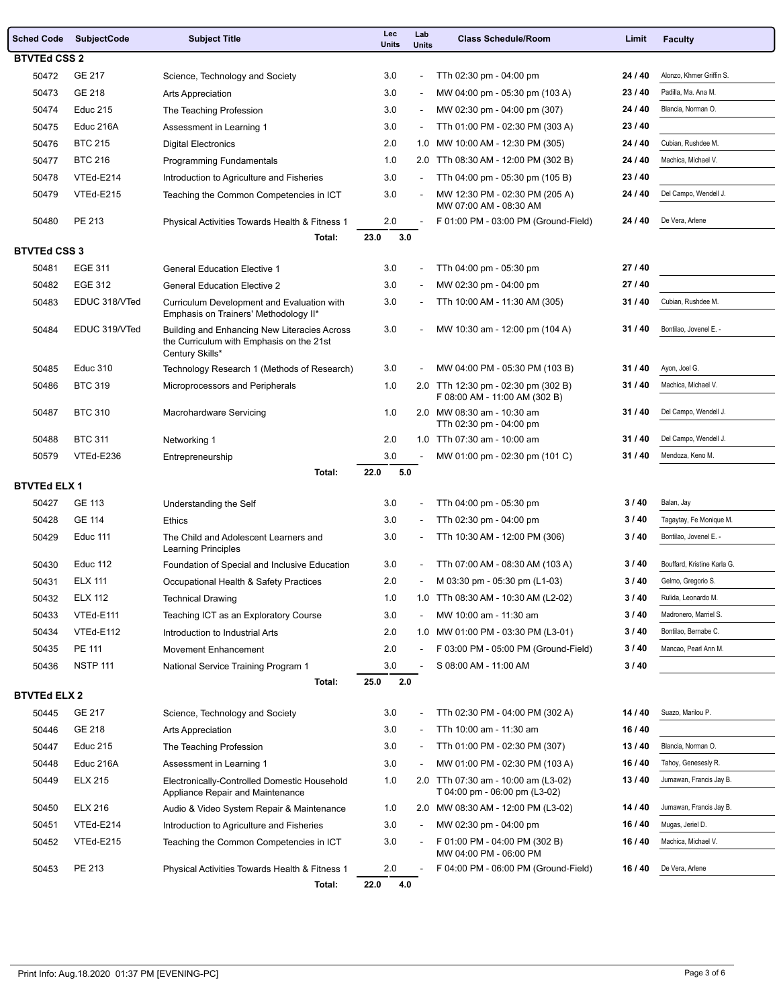|                     | <b>Sched Code SubjectCode</b> | <b>Subject Title</b>                                                                                        | Lec<br><b>Units</b> | Lab<br><b>Units</b>      | <b>Class Schedule/Room</b>                                           | Limit   | <b>Faculty</b>              |
|---------------------|-------------------------------|-------------------------------------------------------------------------------------------------------------|---------------------|--------------------------|----------------------------------------------------------------------|---------|-----------------------------|
| <b>BTVTEd CSS 2</b> |                               |                                                                                                             |                     |                          |                                                                      |         |                             |
| 50472               | GE 217                        | Science, Technology and Society                                                                             | 3.0                 | $\blacksquare$           | TTh 02:30 pm - 04:00 pm                                              | 24 / 40 | Alonzo, Khmer Griffin S.    |
| 50473               | GE 218                        | <b>Arts Appreciation</b>                                                                                    | 3.0                 |                          | MW 04:00 pm - 05:30 pm (103 A)                                       | 23/40   | Padilla, Ma. Ana M.         |
| 50474               | <b>Educ 215</b>               | The Teaching Profession                                                                                     | 3.0                 | $\blacksquare$           | MW 02:30 pm - 04:00 pm (307)                                         | 24 / 40 | Blancia, Norman O.          |
| 50475               | Educ 216A                     | Assessment in Learning 1                                                                                    | 3.0                 | $\overline{\phantom{a}}$ | TTh 01:00 PM - 02:30 PM (303 A)                                      | 23/40   |                             |
| 50476               | <b>BTC 215</b>                | <b>Digital Electronics</b>                                                                                  | 2.0                 |                          | 1.0 MW 10:00 AM - 12:30 PM (305)                                     | 24 / 40 | Cubian, Rushdee M.          |
| 50477               | <b>BTC 216</b>                | <b>Programming Fundamentals</b>                                                                             | 1.0                 |                          | 2.0 TTh 08:30 AM - 12:00 PM (302 B)                                  | 24 / 40 | Machica, Michael V.         |
| 50478               | VTEd-E214                     | Introduction to Agriculture and Fisheries                                                                   | 3.0                 |                          | TTh 04:00 pm - 05:30 pm (105 B)                                      | 23/40   |                             |
| 50479               | VTEd-E215                     | Teaching the Common Competencies in ICT                                                                     | 3.0                 |                          | MW 12:30 PM - 02:30 PM (205 A)<br>MW 07:00 AM - 08:30 AM             | 24 / 40 | Del Campo, Wendell J.       |
| 50480               | PE 213                        | Physical Activities Towards Health & Fitness 1                                                              | 2.0                 |                          | F 01:00 PM - 03:00 PM (Ground-Field)                                 | 24 / 40 | De Vera, Arlene             |
|                     |                               | Total:                                                                                                      | 23.0<br>3.0         |                          |                                                                      |         |                             |
| <b>BTVTEd CSS 3</b> |                               |                                                                                                             |                     |                          |                                                                      |         |                             |
| 50481               | EGE 311                       | <b>General Education Elective 1</b>                                                                         | 3.0                 |                          | TTh 04:00 pm - 05:30 pm                                              | 27 / 40 |                             |
| 50482               | EGE 312                       | <b>General Education Elective 2</b>                                                                         | 3.0                 |                          | MW 02:30 pm - 04:00 pm                                               | 27 / 40 |                             |
| 50483               | EDUC 318/VTed                 | Curriculum Development and Evaluation with<br>Emphasis on Trainers' Methodology II*                         | 3.0                 |                          | TTh 10:00 AM - 11:30 AM (305)                                        | 31/40   | Cubian, Rushdee M.          |
| 50484               | EDUC 319/VTed                 | Building and Enhancing New Literacies Across<br>the Curriculum with Emphasis on the 21st<br>Century Skills* | 3.0                 |                          | MW 10:30 am - 12:00 pm (104 A)                                       | 31/40   | Bontilao, Jovenel E. -      |
| 50485               | <b>Educ 310</b>               | Technology Research 1 (Methods of Research)                                                                 | 3.0                 |                          | MW 04:00 PM - 05:30 PM (103 B)                                       | 31/40   | Ayon, Joel G.               |
| 50486               | <b>BTC 319</b>                | Microprocessors and Peripherals                                                                             | 1.0                 |                          | 2.0 TTh 12:30 pm - 02:30 pm (302 B)<br>F 08:00 AM - 11:00 AM (302 B) | 31/40   | Machica, Michael V.         |
| 50487               | <b>BTC 310</b>                | Macrohardware Servicing                                                                                     | 1.0                 |                          | 2.0 MW 08:30 am - 10:30 am<br>TTh 02:30 pm - 04:00 pm                | 31/40   | Del Campo, Wendell J.       |
| 50488               | <b>BTC 311</b>                | Networking 1                                                                                                | 2.0                 |                          | 1.0 TTh 07:30 am - 10:00 am                                          | 31/40   | Del Campo, Wendell J.       |
| 50579               | VTEd-E236                     | Entrepreneurship                                                                                            | 3.0                 | $\overline{\phantom{a}}$ | MW 01:00 pm - 02:30 pm (101 C)                                       | 31/40   | Mendoza, Keno M.            |
| <b>BTVTEd ELX 1</b> |                               | Total:                                                                                                      | 22.0<br>5.0         |                          |                                                                      |         |                             |
| 50427               | <b>GE 113</b>                 | Understanding the Self                                                                                      | 3.0                 |                          | TTh 04:00 pm - 05:30 pm                                              | 3/40    | Balan, Jay                  |
| 50428               | <b>GE 114</b>                 | <b>Ethics</b>                                                                                               | 3.0                 |                          | TTh 02:30 pm - 04:00 pm                                              | 3/40    | Tagaytay, Fe Monique M.     |
| 50429               | Educ 111                      | The Child and Adolescent Learners and<br><b>Learning Principles</b>                                         | 3.0                 |                          | TTh 10:30 AM - 12:00 PM (306)                                        | 3/40    | Bontilao, Jovenel E. -      |
| 50430               | <b>Educ 112</b>               | Foundation of Special and Inclusive Education                                                               | 3.0                 |                          | TTh 07:00 AM - 08:30 AM (103 A)                                      | 3/40    | Bouffard, Kristine Karla G. |
| 50431               | <b>ELX 111</b>                | Occupational Health & Safety Practices                                                                      | 2.0                 |                          | M 03:30 pm - 05:30 pm (L1-03)                                        | 3/40    | Gelmo, Gregorio S.          |
| 50432               | <b>ELX 112</b>                | <b>Technical Drawing</b>                                                                                    | 1.0                 |                          | 1.0 TTh 08:30 AM - 10:30 AM (L2-02)                                  | 3/40    | Rulida, Leonardo M.         |
| 50433               | VTEd-E111                     | Teaching ICT as an Exploratory Course                                                                       | 3.0                 |                          | MW 10:00 am - 11:30 am                                               | 3/40    | Madronero, Marriel S.       |
| 50434               | VTEd-E112                     | Introduction to Industrial Arts                                                                             | 2.0                 |                          | 1.0 MW 01:00 PM - 03:30 PM (L3-01)                                   | 3/40    | Bontilao, Bernabe C.        |
| 50435               | PE 111                        | Movement Enhancement                                                                                        | 2.0                 |                          | F 03:00 PM - 05:00 PM (Ground-Field)                                 | 3/40    | Mancao, Pearl Ann M.        |
| 50436               | <b>NSTP 111</b>               | National Service Training Program 1                                                                         | 3.0                 |                          | S 08:00 AM - 11:00 AM                                                | 3/40    |                             |
|                     |                               | Total:                                                                                                      | 2.0<br>25.0         |                          |                                                                      |         |                             |
| <b>BTVTEd ELX 2</b> |                               |                                                                                                             |                     |                          |                                                                      |         |                             |
| 50445               | GE 217                        | Science, Technology and Society                                                                             | 3.0                 |                          | TTh 02:30 PM - 04:00 PM (302 A)                                      | 14 / 40 | Suazo, Marilou P.           |
| 50446               | GE 218                        | Arts Appreciation                                                                                           | 3.0                 |                          | TTh 10:00 am - 11:30 am                                              | 16 / 40 |                             |
| 50447               | <b>Educ 215</b>               | The Teaching Profession                                                                                     | 3.0                 | $\sim$                   | TTh 01:00 PM - 02:30 PM (307)                                        | 13/40   | Blancia, Norman O.          |
| 50448               | Educ 216A                     | Assessment in Learning 1                                                                                    | 3.0                 |                          | MW 01:00 PM - 02:30 PM (103 A)                                       | 16/40   | Tahoy, Genesesly R.         |
| 50449               | <b>ELX 215</b>                | Electronically-Controlled Domestic Household<br>Appliance Repair and Maintenance                            | 1.0                 |                          | 2.0 TTh 07:30 am - 10:00 am (L3-02)<br>T 04:00 pm - 06:00 pm (L3-02) | 13/40   | Jumawan, Francis Jay B.     |
| 50450               | <b>ELX 216</b>                | Audio & Video System Repair & Maintenance                                                                   | 1.0                 |                          | 2.0 MW 08:30 AM - 12:00 PM (L3-02)                                   | 14 / 40 | Jumawan, Francis Jay B.     |
| 50451               | VTEd-E214                     | Introduction to Agriculture and Fisheries                                                                   | 3.0                 |                          | MW 02:30 pm - 04:00 pm                                               | 16 / 40 | Mugas, Jeriel D.            |
| 50452               | VTEd-E215                     | Teaching the Common Competencies in ICT                                                                     | 3.0                 | $\overline{\phantom{a}}$ | F 01:00 PM - 04:00 PM (302 B)<br>MW 04:00 PM - 06:00 PM              | 16/40   | Machica, Michael V.         |
| 50453               | PE 213                        | Physical Activities Towards Health & Fitness 1                                                              | 2.0                 |                          | F 04:00 PM - 06:00 PM (Ground-Field)                                 | 16 / 40 | De Vera, Arlene             |
|                     |                               | Total:                                                                                                      | 22.0<br>4.0         |                          |                                                                      |         |                             |

 $\overline{\phantom{a}}$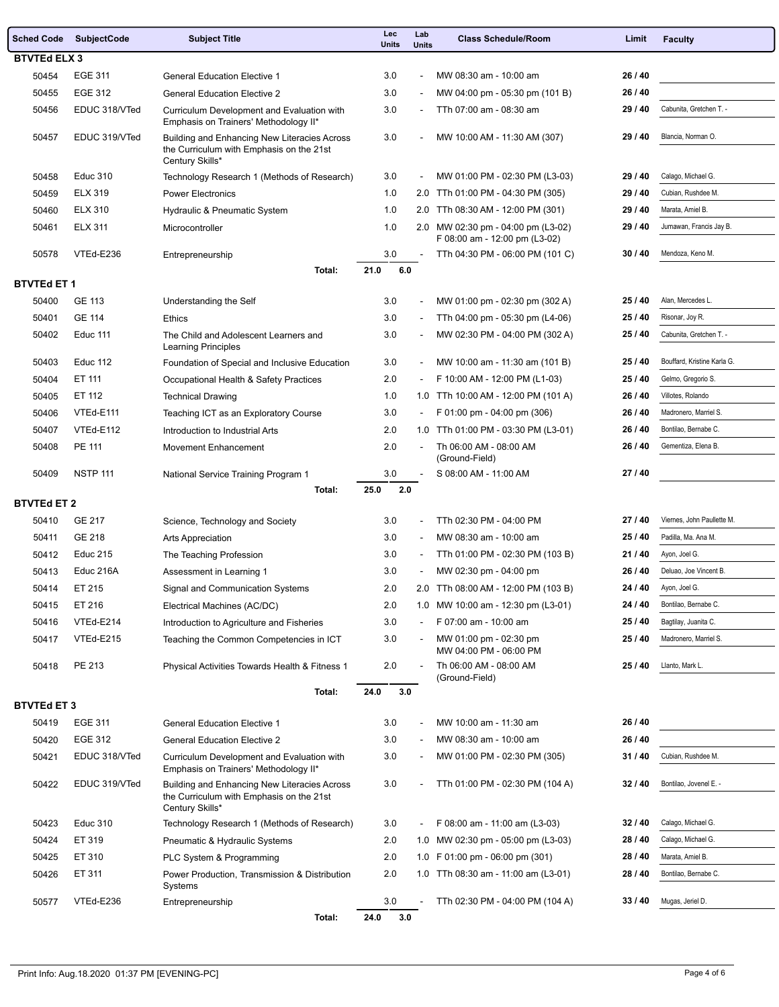| <b>Sched Code</b>   | <b>SubjectCode</b> | <b>Subject Title</b>                                                                                        | Lec<br><b>Units</b> | Lab<br><b>Units</b>          | <b>Class Schedule/Room</b>                                       | Limit   | <b>Faculty</b>              |  |
|---------------------|--------------------|-------------------------------------------------------------------------------------------------------------|---------------------|------------------------------|------------------------------------------------------------------|---------|-----------------------------|--|
| <b>BTVTEd ELX 3</b> |                    |                                                                                                             |                     |                              |                                                                  |         |                             |  |
| 50454               | EGE 311            | <b>General Education Elective 1</b>                                                                         | 3.0                 | ÷.                           | MW 08:30 am - 10:00 am                                           | 26 / 40 |                             |  |
| 50455               | EGE 312            | <b>General Education Elective 2</b>                                                                         | 3.0                 | $\overline{\phantom{a}}$     | MW 04:00 pm - 05:30 pm (101 B)                                   | 26 / 40 |                             |  |
| 50456               | EDUC 318/VTed      | Curriculum Development and Evaluation with<br>Emphasis on Trainers' Methodology II*                         | 3.0                 |                              | TTh 07:00 am - 08:30 am                                          | 29 / 40 | Cabunita, Gretchen T. -     |  |
| 50457               | EDUC 319/VTed      | Building and Enhancing New Literacies Across<br>the Curriculum with Emphasis on the 21st                    | 3.0                 |                              | MW 10:00 AM - 11:30 AM (307)                                     | 29 / 40 | Blancia, Norman O.          |  |
| 50458               | <b>Educ 310</b>    | Century Skills*<br>Technology Research 1 (Methods of Research)                                              | 3.0                 | ÷,                           | MW 01:00 PM - 02:30 PM (L3-03)                                   | 29/40   | Calago, Michael G.          |  |
| 50459               | <b>ELX 319</b>     | <b>Power Electronics</b>                                                                                    | 1.0                 | 2.0                          | TTh 01:00 PM - 04:30 PM (305)                                    | 29 / 40 | Cubian, Rushdee M.          |  |
| 50460               | <b>ELX 310</b>     | Hydraulic & Pneumatic System                                                                                | 1.0                 |                              | 2.0 TTh 08:30 AM - 12:00 PM (301)                                | 29 / 40 | Marata, Amiel B.            |  |
| 50461               | <b>ELX 311</b>     | Microcontroller                                                                                             | 1.0                 |                              | 2.0 MW 02:30 pm - 04:00 pm (L3-02)                               | 29 / 40 | Jumawan, Francis Jay B.     |  |
| 50578               | VTEd-E236          | Entrepreneurship                                                                                            | 3.0                 |                              | F 08:00 am - 12:00 pm (L3-02)<br>TTh 04:30 PM - 06:00 PM (101 C) | 30/40   | Mendoza, Keno M.            |  |
|                     |                    | Total:                                                                                                      | 21.0<br>6.0         |                              |                                                                  |         |                             |  |
| <b>BTVTEd ET 1</b>  |                    |                                                                                                             |                     |                              |                                                                  |         |                             |  |
| 50400               | <b>GE 113</b>      | Understanding the Self                                                                                      | 3.0                 | $\overline{\phantom{a}}$     | MW 01:00 pm - 02:30 pm (302 A)                                   | 25/40   | Alan, Mercedes L.           |  |
| 50401               | <b>GE 114</b>      | <b>Ethics</b>                                                                                               | 3.0                 | $\sim$                       | TTh 04:00 pm - 05:30 pm (L4-06)                                  | 25/40   | Risonar, Joy R.             |  |
| 50402               | Educ 111           | The Child and Adolescent Learners and                                                                       | 3.0                 |                              | MW 02:30 PM - 04:00 PM (302 A)                                   | 25 / 40 | Cabunita, Gretchen T. -     |  |
| 50403               | Educ 112           | Learning Principles<br>Foundation of Special and Inclusive Education                                        | 3.0                 | $\overline{\phantom{a}}$     | MW 10:00 am - 11:30 am (101 B)                                   | 25/40   | Bouffard, Kristine Karla G. |  |
| 50404               | ET 111             | Occupational Health & Safety Practices                                                                      | 2.0                 | $\sim$                       | F 10:00 AM - 12:00 PM (L1-03)                                    | 25/40   | Gelmo, Gregorio S.          |  |
| 50405               | ET 112             | <b>Technical Drawing</b>                                                                                    | 1.0                 |                              | 1.0 TTh 10:00 AM - 12:00 PM (101 A)                              | 26 / 40 | Villotes, Rolando           |  |
| 50406               | VTEd-E111          | Teaching ICT as an Exploratory Course                                                                       | 3.0                 | $\sim$                       | F 01:00 pm - 04:00 pm (306)                                      | 26 / 40 | Madronero, Marriel S.       |  |
| 50407               | VTEd-E112          | Introduction to Industrial Arts                                                                             | 2.0                 | 1.0                          | TTh 01:00 PM - 03:30 PM (L3-01)                                  | 26 / 40 | Bontilao, Bernabe C.        |  |
| 50408               | PE 111             | Movement Enhancement                                                                                        | 2.0                 |                              | Th 06:00 AM - 08:00 AM                                           | 26 / 40 | Gementiza, Elena B.         |  |
|                     |                    |                                                                                                             |                     |                              | (Ground-Field)                                                   |         |                             |  |
| 50409               | <b>NSTP 111</b>    | National Service Training Program 1                                                                         | 3.0                 |                              | S 08:00 AM - 11:00 AM                                            | 27/40   |                             |  |
| <b>BTVTEd ET 2</b>  |                    | Total:                                                                                                      | 25.0<br>2.0         |                              |                                                                  |         |                             |  |
| 50410               | <b>GE 217</b>      | Science, Technology and Society                                                                             | 3.0                 | $\overline{a}$               | TTh 02:30 PM - 04:00 PM                                          | 27/40   | Viernes, John Paullette M.  |  |
| 50411               | GE 218             | Arts Appreciation                                                                                           | 3.0                 | $\overline{\phantom{a}}$     | MW 08:30 am - 10:00 am                                           | 25/40   | Padilla, Ma. Ana M.         |  |
| 50412               | <b>Educ 215</b>    | The Teaching Profession                                                                                     | 3.0                 | $\overline{\phantom{a}}$     | TTh 01:00 PM - 02:30 PM (103 B)                                  | 21/40   | Ayon, Joel G.               |  |
| 50413               | Educ 216A          | Assessment in Learning 1                                                                                    | 3.0                 |                              | MW 02:30 pm - 04:00 pm                                           | 26 / 40 | Deluao, Joe Vincent B.      |  |
| 50414               | ET 215             | Signal and Communication Systems                                                                            | 2.0                 |                              | 2.0 TTh 08:00 AM - 12:00 PM (103 B)                              | 24 / 40 | Ayon, Joel G.               |  |
| 50415               | ET 216             | Electrical Machines (AC/DC)                                                                                 | 2.0                 |                              | 1.0 MW 10:00 am - 12:30 pm (L3-01)                               | 24 / 40 | Bontilao, Bernabe C.        |  |
| 50416               | VTEd-E214          | Introduction to Agriculture and Fisheries                                                                   | 3.0                 |                              | F 07:00 am - 10:00 am                                            | 25/40   | Bagtilay, Juanita C.        |  |
| 50417               | VTEd-E215          | Teaching the Common Competencies in ICT                                                                     | 3.0                 |                              | MW 01:00 pm - 02:30 pm<br>MW 04:00 PM - 06:00 PM                 | 25/40   | Madronero, Marriel S.       |  |
| 50418               | PE 213             | Physical Activities Towards Health & Fitness 1                                                              | 2.0                 | $\sim$                       | Th 06:00 AM - 08:00 AM<br>(Ground-Field)                         | 25/40   | Llanto, Mark L.             |  |
|                     |                    | Total:                                                                                                      | 3.0<br>24.0         |                              |                                                                  |         |                             |  |
| <b>BTVTEd ET 3</b>  |                    |                                                                                                             |                     |                              |                                                                  |         |                             |  |
| 50419               | EGE 311            | <b>General Education Elective 1</b>                                                                         | 3.0                 |                              | MW 10:00 am - 11:30 am                                           | 26 / 40 |                             |  |
| 50420               | EGE 312            | <b>General Education Elective 2</b>                                                                         | 3.0                 | $\overline{\phantom{a}}$     | MW 08:30 am - 10:00 am                                           | 26 / 40 |                             |  |
| 50421               | EDUC 318/VTed      | Curriculum Development and Evaluation with<br>Emphasis on Trainers' Methodology II*                         | 3.0                 | $\qquad \qquad \blacksquare$ | MW 01:00 PM - 02:30 PM (305)                                     | 31/40   | Cubian, Rushdee M.          |  |
| 50422               | EDUC 319/VTed      | Building and Enhancing New Literacies Across<br>the Curriculum with Emphasis on the 21st<br>Century Skills* | 3.0                 |                              | TTh 01:00 PM - 02:30 PM (104 A)                                  | 32/40   | Bontilao, Jovenel E. -      |  |
| 50423               | <b>Educ 310</b>    | Technology Research 1 (Methods of Research)                                                                 | 3.0                 | $\overline{\phantom{a}}$     | F 08:00 am - 11:00 am (L3-03)                                    | 32/40   | Calago, Michael G.          |  |
| 50424               | ET 319             | Pneumatic & Hydraulic Systems                                                                               | 2.0                 |                              | 1.0 MW 02:30 pm - 05:00 pm (L3-03)                               | 28 / 40 | Calago, Michael G.          |  |
| 50425               | ET 310             | PLC System & Programming                                                                                    | 2.0                 |                              | 1.0 $\sqrt{6}$ P 01:00 pm - 06:00 pm (301)                       | 28 / 40 | Marata, Amiel B.            |  |
| 50426               | ET 311             | Power Production, Transmission & Distribution<br>Systems                                                    | 2.0                 |                              | 1.0 TTh $08:30$ am - 11:00 am (L3-01)                            | 28 / 40 | Bontilao, Bernabe C.        |  |
| 50577               | VTEd-E236          | Entrepreneurship<br>Total:                                                                                  | 3.0<br>24.0<br>3.0  |                              | TTh 02:30 PM - 04:00 PM (104 A)                                  | 33/40   | Mugas, Jeriel D.            |  |
|                     |                    |                                                                                                             |                     |                              |                                                                  |         |                             |  |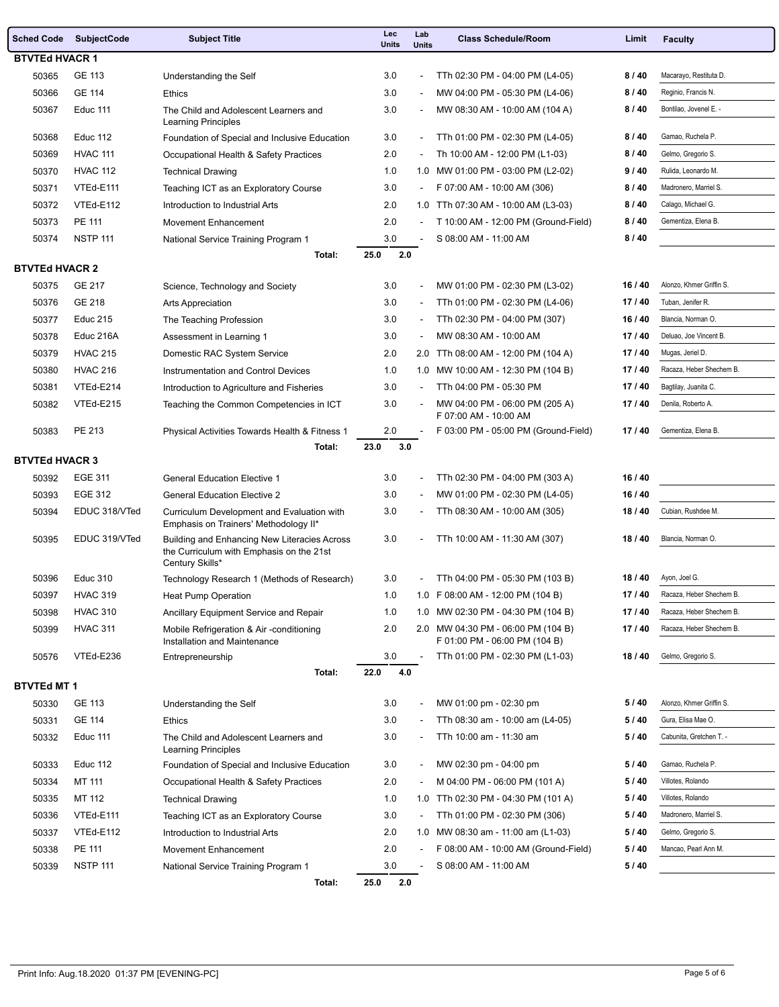| <b>Sched Code</b>     | <b>SubjectCode</b> | <b>Subject Title</b>                                                                                        | Lec<br><b>Units</b> | Lab<br><b>Units</b>      | <b>Class Schedule/Room</b>                                          | Limit   | <b>Faculty</b>           |  |
|-----------------------|--------------------|-------------------------------------------------------------------------------------------------------------|---------------------|--------------------------|---------------------------------------------------------------------|---------|--------------------------|--|
| <b>BTVTEd HVACR 1</b> |                    |                                                                                                             |                     |                          |                                                                     |         |                          |  |
| 50365                 | GE 113             | Understanding the Self                                                                                      | 3.0                 | $\overline{a}$           | TTh 02:30 PM - 04:00 PM (L4-05)                                     | 8/40    | Macarayo, Restituta D.   |  |
| 50366                 | <b>GE 114</b>      | <b>Ethics</b>                                                                                               | 3.0                 |                          | MW 04:00 PM - 05:30 PM (L4-06)                                      | 8/40    | Reginio, Francis N.      |  |
| 50367                 | Educ 111           | The Child and Adolescent Learners and<br>Learning Principles                                                | 3.0                 | $\blacksquare$           | MW 08:30 AM - 10:00 AM (104 A)                                      | 8/40    | Bontilao, Jovenel E. -   |  |
| 50368                 | <b>Educ 112</b>    | Foundation of Special and Inclusive Education                                                               | 3.0                 | $\overline{\phantom{a}}$ | TTh 01:00 PM - 02:30 PM (L4-05)                                     | 8/40    | Gamao, Ruchela P.        |  |
| 50369                 | <b>HVAC 111</b>    | Occupational Health & Safety Practices                                                                      | 2.0                 |                          | Th 10:00 AM - 12:00 PM (L1-03)                                      | 8/40    | Gelmo, Gregorio S.       |  |
| 50370                 | <b>HVAC 112</b>    | <b>Technical Drawing</b>                                                                                    | 1.0                 | 1.0                      | MW 01:00 PM - 03:00 PM (L2-02)                                      | 9/40    | Rulida, Leonardo M.      |  |
| 50371                 | VTEd-E111          | Teaching ICT as an Exploratory Course                                                                       | 3.0                 |                          | F 07:00 AM - 10:00 AM (306)                                         | 8/40    | Madronero, Marriel S.    |  |
| 50372                 | VTEd-E112          | Introduction to Industrial Arts                                                                             | 2.0                 |                          | 1.0 TTh 07:30 AM - 10:00 AM (L3-03)                                 | 8/40    | Calago, Michael G.       |  |
| 50373                 | PE 111             | Movement Enhancement                                                                                        | 2.0                 |                          | T 10:00 AM - 12:00 PM (Ground-Field)                                | 8/40    | Gementiza, Elena B.      |  |
| 50374                 | <b>NSTP 111</b>    | National Service Training Program 1                                                                         | 3.0                 |                          | S 08:00 AM - 11:00 AM                                               | 8/40    |                          |  |
|                       |                    | Total:                                                                                                      | 25.0<br>2.0         |                          |                                                                     |         |                          |  |
| <b>BTVTEd HVACR 2</b> |                    |                                                                                                             |                     |                          |                                                                     |         |                          |  |
| 50375                 | GE 217             | Science, Technology and Society                                                                             | 3.0                 | $\overline{\phantom{a}}$ | MW 01:00 PM - 02:30 PM (L3-02)                                      | 16/40   | Alonzo, Khmer Griffin S. |  |
| 50376                 | GE 218             | Arts Appreciation                                                                                           | 3.0                 |                          | TTh 01:00 PM - 02:30 PM (L4-06)                                     | 17/40   | Tuban, Jenifer R.        |  |
| 50377                 | <b>Educ 215</b>    | The Teaching Profession                                                                                     | 3.0                 | $\blacksquare$           | TTh 02:30 PM - 04:00 PM (307)                                       | 16/40   | Blancia. Norman O.       |  |
| 50378                 | Educ 216A          | Assessment in Learning 1                                                                                    | 3.0                 |                          | MW 08:30 AM - 10:00 AM                                              | 17/40   | Deluao, Joe Vincent B.   |  |
| 50379                 | <b>HVAC 215</b>    | Domestic RAC System Service                                                                                 | 2.0                 | 2.0                      | TTh 08:00 AM - 12:00 PM (104 A)                                     | 17/40   | Mugas, Jeriel D.         |  |
| 50380                 | <b>HVAC 216</b>    | Instrumentation and Control Devices                                                                         | 1.0                 | 1.0                      | MW 10:00 AM - 12:30 PM (104 B)                                      | 17/40   | Racaza, Heber Shechem B. |  |
| 50381                 | VTEd-E214          | Introduction to Agriculture and Fisheries                                                                   | 3.0                 | $\overline{\phantom{a}}$ | TTh 04:00 PM - 05:30 PM                                             | 17/40   | Bagtilay, Juanita C.     |  |
| 50382                 | VTEd-E215          | Teaching the Common Competencies in ICT                                                                     | 3.0                 | $\blacksquare$           | MW 04:00 PM - 06:00 PM (205 A)<br>F 07:00 AM - 10:00 AM             | 17/40   | Denila, Roberto A.       |  |
| 50383                 | PE 213             | Physical Activities Towards Health & Fitness 1                                                              | 2.0                 |                          | F 03:00 PM - 05:00 PM (Ground-Field)                                | 17/40   | Gementiza, Elena B.      |  |
|                       |                    | Total:                                                                                                      | 23.0<br>3.0         |                          |                                                                     |         |                          |  |
| <b>BTVTEd HVACR 3</b> | <b>EGE 311</b>     |                                                                                                             | 3.0                 |                          | TTh 02:30 PM - 04:00 PM (303 A)                                     | 16 / 40 |                          |  |
| 50392<br>50393        | <b>EGE 312</b>     | <b>General Education Elective 1</b><br><b>General Education Elective 2</b>                                  | 3.0                 | $\overline{\phantom{a}}$ | MW 01:00 PM - 02:30 PM (L4-05)                                      | 16 / 40 |                          |  |
| 50394                 | EDUC 318/VTed      | Curriculum Development and Evaluation with                                                                  | 3.0                 |                          | TTh 08:30 AM - 10:00 AM (305)                                       | 18/40   | Cubian, Rushdee M.       |  |
|                       |                    | Emphasis on Trainers' Methodology II*                                                                       |                     |                          |                                                                     |         |                          |  |
| 50395                 | EDUC 319/VTed      | Building and Enhancing New Literacies Across<br>the Curriculum with Emphasis on the 21st<br>Century Skills* | 3.0                 |                          | TTh 10:00 AM - 11:30 AM (307)                                       | 18/40   | Blancia. Norman O.       |  |
| 50396                 | <b>Educ 310</b>    | Technology Research 1 (Methods of Research)                                                                 | 3.0                 |                          | TTh 04:00 PM - 05:30 PM (103 B)                                     | 18/40   | Ayon, Joel G.            |  |
| 50397                 | <b>HVAC 319</b>    | Heat Pump Operation                                                                                         | 1.0                 |                          | 1.0 F 08:00 AM - 12:00 PM (104 B)                                   | 17 / 40 | Racaza, Heber Shechem B. |  |
| 50398                 | <b>HVAC 310</b>    | Ancillary Equipment Service and Repair                                                                      | 1.0                 |                          | 1.0 MW 02:30 PM - 04:30 PM (104 B)                                  | 17/40   | Racaza, Heber Shechem B. |  |
| 50399                 | <b>HVAC 311</b>    | Mobile Refrigeration & Air -conditioning<br>Installation and Maintenance                                    | 2.0                 |                          | 2.0 MW 04:30 PM - 06:00 PM (104 B)<br>F 01:00 PM - 06:00 PM (104 B) | 17/40   | Racaza, Heber Shechem B. |  |
| 50576                 | VTEd-E236          | Entrepreneurship                                                                                            | 3.0                 |                          | TTh 01:00 PM - 02:30 PM (L1-03)                                     | 18/40   | Gelmo, Gregorio S.       |  |
|                       |                    | Total:                                                                                                      | 22.0<br>4.0         |                          |                                                                     |         |                          |  |
| <b>BTVTEd MT 1</b>    |                    |                                                                                                             |                     |                          |                                                                     |         |                          |  |
| 50330                 | GE 113             | Understanding the Self                                                                                      | 3.0                 | $\overline{\phantom{a}}$ | MW 01:00 pm - 02:30 pm                                              | 5/40    | Alonzo, Khmer Griffin S. |  |
| 50331                 | GE 114             | <b>Ethics</b>                                                                                               | 3.0                 | $\overline{\phantom{a}}$ | TTh 08:30 am - 10:00 am (L4-05)                                     | 5/40    | Gura, Elisa Mae O.       |  |
| 50332                 | Educ 111           | The Child and Adolescent Learners and<br>Learning Principles                                                | 3.0                 |                          | TTh 10:00 am - 11:30 am                                             | 5/40    | Cabunita. Gretchen T. -  |  |
| 50333                 | <b>Educ 112</b>    | Foundation of Special and Inclusive Education                                                               | 3.0                 | $\overline{\phantom{a}}$ | MW 02:30 pm - 04:00 pm                                              | 5/40    | Gamao, Ruchela P.        |  |
| 50334                 | MT 111             | Occupational Health & Safety Practices                                                                      | 2.0                 | $\overline{\phantom{a}}$ | M 04:00 PM - 06:00 PM (101 A)                                       | 5/40    | Villotes, Rolando        |  |
| 50335                 | MT 112             | <b>Technical Drawing</b>                                                                                    | 1.0                 | 1.0                      | TTh 02:30 PM - 04:30 PM (101 A)                                     | 5/40    | Villotes, Rolando        |  |
| 50336                 | VTEd-E111          | Teaching ICT as an Exploratory Course                                                                       | 3.0                 | $\blacksquare$           | TTh 01:00 PM - 02:30 PM (306)                                       | 5/40    | Madronero, Marriel S.    |  |
| 50337                 | VTEd-E112          | Introduction to Industrial Arts                                                                             | 2.0                 |                          | 1.0 MW 08:30 am - 11:00 am (L1-03)                                  | 5/40    | Gelmo, Gregorio S.       |  |
| 50338                 | PE 111             | Movement Enhancement                                                                                        | 2.0                 | $\overline{\phantom{a}}$ | F 08:00 AM - 10:00 AM (Ground-Field)                                | 5/40    | Mancao, Pearl Ann M.     |  |
| 50339                 | <b>NSTP 111</b>    | National Service Training Program 1                                                                         | 3.0                 |                          | S 08:00 AM - 11:00 AM                                               | 5/40    |                          |  |
|                       |                    | Total:                                                                                                      | 25.0<br>2.0         |                          |                                                                     |         |                          |  |